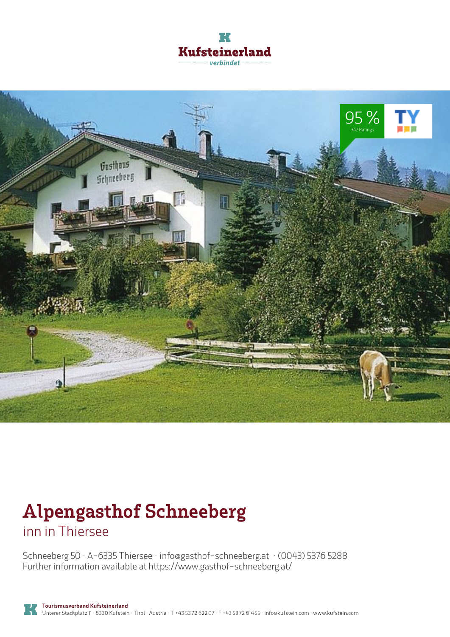



# **Alpengasthof Schneeberg** inn in Thiersee

Schneeberg 50 · A-6335 Thiersee · **info@gasthof-schneeberg.at** · **(0043) 5376 5288** Further information available at **https://www.gasthof-schneeberg.at/**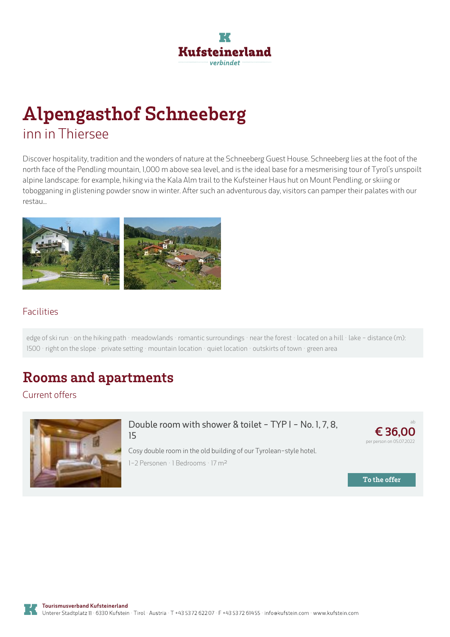# **Kufsteinerland** verhindet

# **Alpengasthof Schneeberg** inn in Thiersee

Discover hospitality, tradition and the wonders of nature at the Schneeberg Guest House. Schneeberg lies at the foot of the north face of the Pendling mountain, 1,000 m above sea level, and is the ideal base for a mesmerising tour of Tyrol's unspoilt alpine landscape: for example, hiking via the Kala Alm trail to the Kufsteiner Haus hut on Mount Pendling, or skiing or tobogganing in glistening powder snow in winter. After such an adventurous day, visitors can pamper their palates with our restau...



#### Facilities

edge of ski run · on the hiking path · meadowlands · romantic surroundings · near the forest · located on a hill · lake - distance (m): 1500 · right on the slope · private setting · mountain location · quiet location · outskirts of town · green area

### **Rooms and apartments**

Current offers



#### **Double room with shower & toilet - TYP I - No. 1, 7, 8, 15**

ab

**€ [36,00](https://www.kufstein.com/en/book/thiersee/inn/alpengasthof-schneeberg.html?utm_medium=PDF&utm_campaign=Vermieter-Prospekt&utm_source=Alpengasthof+Schneeberg)** per person on 05.07.2022

**To the offer**

Cosy double room in the old building of our Tyrolean-style hotel. 1-2 Personen · 1 Bedrooms · 17 <sup>m</sup><sup>²</sup>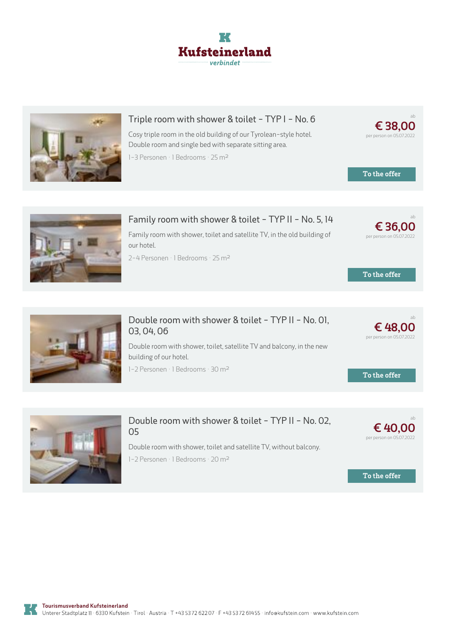